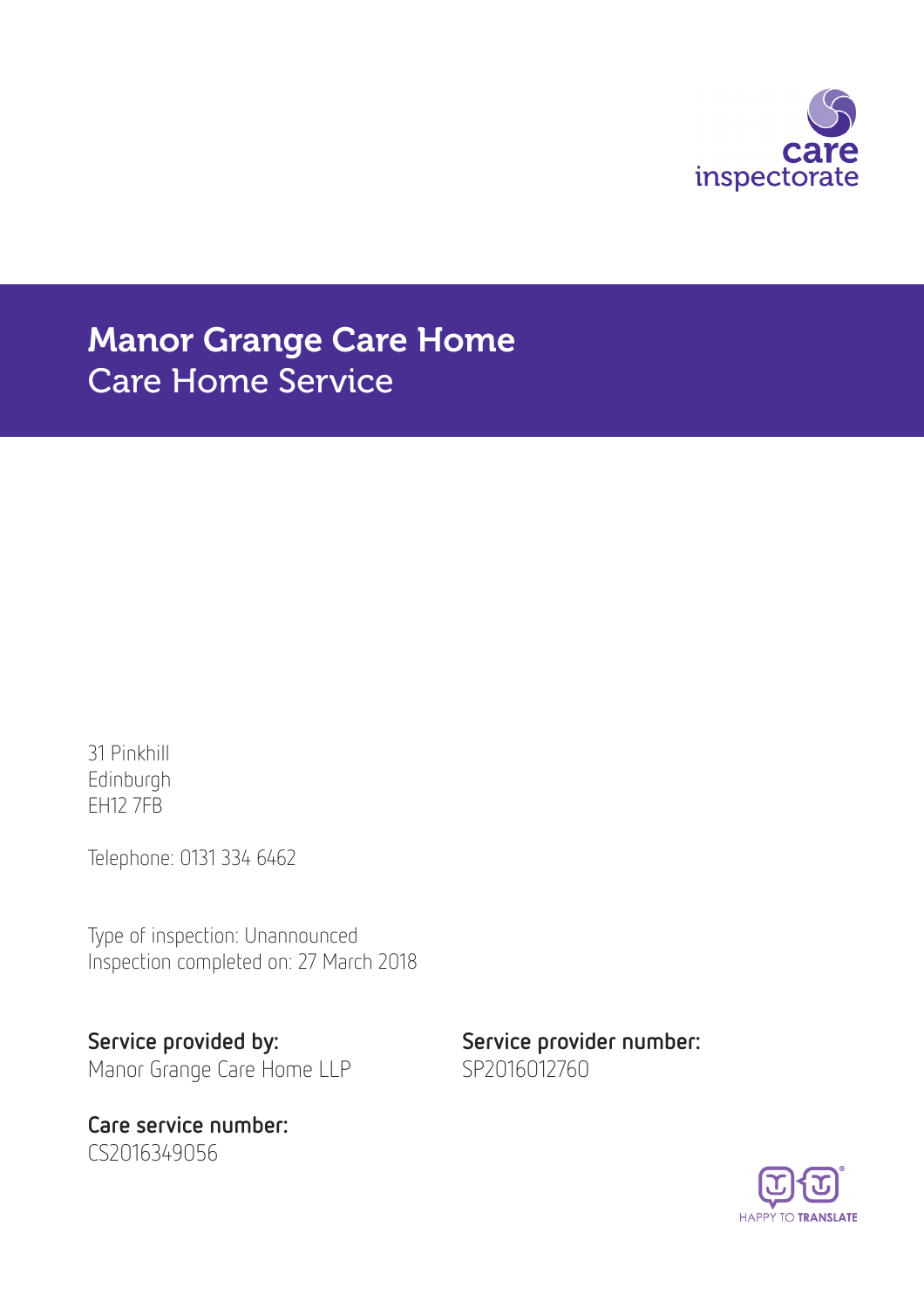

# Manor Grange Care Home Care Home Service

31 Pinkhill Edinburgh EH12 7FB

Telephone: 0131 334 6462

Type of inspection: Unannounced Inspection completed on: 27 March 2018

Service provided by: Service provider number:

Care service number: CS2016349056

Manor Grange Care Home LLP SP2016012760

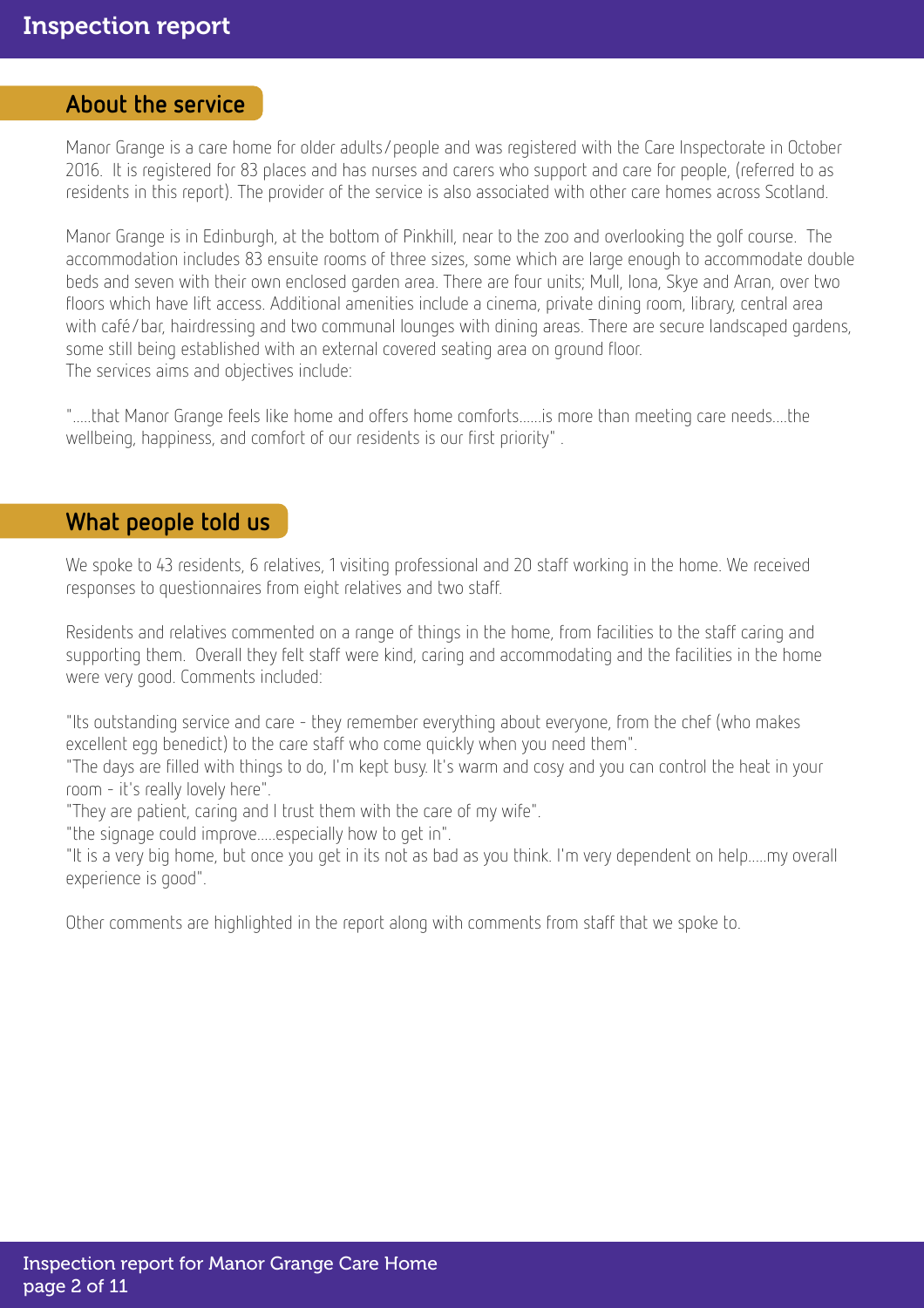### About the service

Manor Grange is a care home for older adults/people and was registered with the Care Inspectorate in October 2016. It is registered for 83 places and has nurses and carers who support and care for people, (referred to as residents in this report). The provider of the service is also associated with other care homes across Scotland.

Manor Grange is in Edinburgh, at the bottom of Pinkhill, near to the zoo and overlooking the golf course. The accommodation includes 83 ensuite rooms of three sizes, some which are large enough to accommodate double beds and seven with their own enclosed garden area. There are four units; Mull, Iona, Skye and Arran, over two floors which have lift access. Additional amenities include a cinema, private dining room, library, central area with café/bar, hairdressing and two communal lounges with dining areas. There are secure landscaped gardens, some still being established with an external covered seating area on ground floor. The services aims and objectives include:

".....that Manor Grange feels like home and offers home comforts......is more than meeting care needs....the wellbeing, happiness, and comfort of our residents is our first priority" .

### What people told us

We spoke to 43 residents, 6 relatives, 1 visiting professional and 20 staff working in the home. We received responses to questionnaires from eight relatives and two staff.

Residents and relatives commented on a range of things in the home, from facilities to the staff caring and supporting them. Overall they felt staff were kind, caring and accommodating and the facilities in the home were very good. Comments included:

"Its outstanding service and care - they remember everything about everyone, from the chef (who makes excellent egg benedict) to the care staff who come quickly when you need them".

"The days are filled with things to do, I'm kept busy. It's warm and cosy and you can control the heat in your room - it's really lovely here".

"They are patient, caring and I trust them with the care of my wife".

"the signage could improve.....especially how to get in".

"It is a very big home, but once you get in its not as bad as you think. I'm very dependent on help.....my overall experience is good".

Other comments are highlighted in the report along with comments from staff that we spoke to.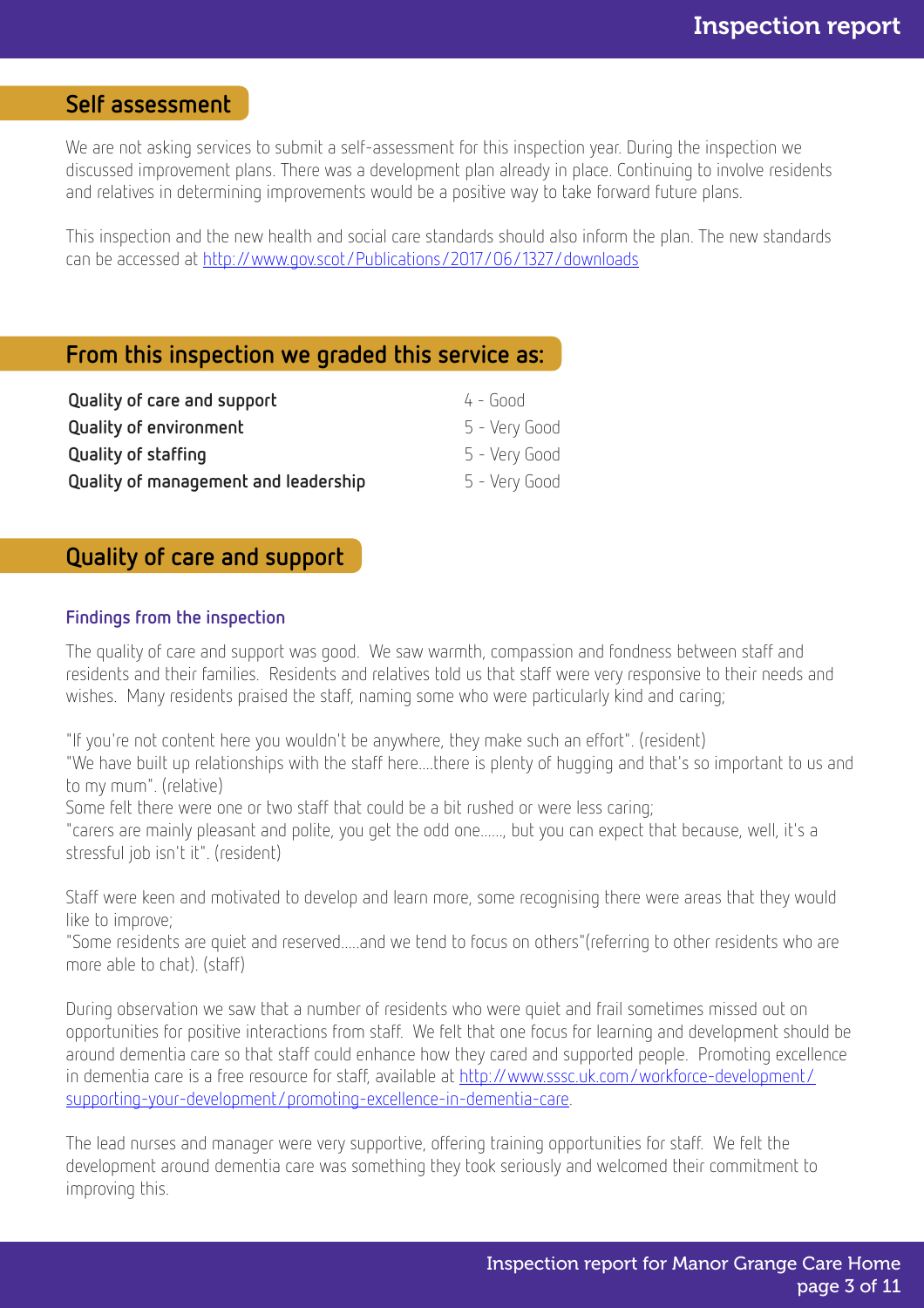### Self assessment

We are not asking services to submit a self-assessment for this inspection year. During the inspection we discussed improvement plans. There was a development plan already in place. Continuing to involve residents and relatives in determining improvements would be a positive way to take forward future plans.

This inspection and the new health and social care standards should also inform the plan. The new standards can be accessed at <http://www.gov.scot/Publications/2017/06/1327/downloads>

### From this inspection we graded this service as:

| Quality of care and support          | $4 - 600d$    |
|--------------------------------------|---------------|
| <b>Quality of environment</b>        | 5 - Very Good |
| Quality of staffing                  | 5 - Very Good |
| Quality of management and leadership | 5 - Very Good |

### Quality of care and support

#### Findings from the inspection

The quality of care and support was good. We saw warmth, compassion and fondness between staff and residents and their families. Residents and relatives told us that staff were very responsive to their needs and wishes. Many residents praised the staff, naming some who were particularly kind and caring;

"If you're not content here you wouldn't be anywhere, they make such an effort". (resident) "We have built up relationships with the staff here....there is plenty of hugging and that's so important to us and to my mum". (relative)

Some felt there were one or two staff that could be a bit rushed or were less caring;

"carers are mainly pleasant and polite, you get the odd one......, but you can expect that because, well, it's a stressful job isn't it". (resident)

Staff were keen and motivated to develop and learn more, some recognising there were areas that they would like to improve;

"Some residents are quiet and reserved.....and we tend to focus on others"(referring to other residents who are more able to chat). (staff)

During observation we saw that a number of residents who were quiet and frail sometimes missed out on opportunities for positive interactions from staff. We felt that one focus for learning and development should be around dementia care so that staff could enhance how they cared and supported people. Promoting excellence in dementia care is a free resource for staff, available at [http://www.sssc.uk.com/workforce-development/](http://www.sssc.uk.com/workforce-development/supporting-your-development/promoting-excellence-in-dementia-care) [supporting-your-development/promoting-excellence-in-dementia-care](http://www.sssc.uk.com/workforce-development/supporting-your-development/promoting-excellence-in-dementia-care).

The lead nurses and manager were very supportive, offering training opportunities for staff. We felt the development around dementia care was something they took seriously and welcomed their commitment to improving this.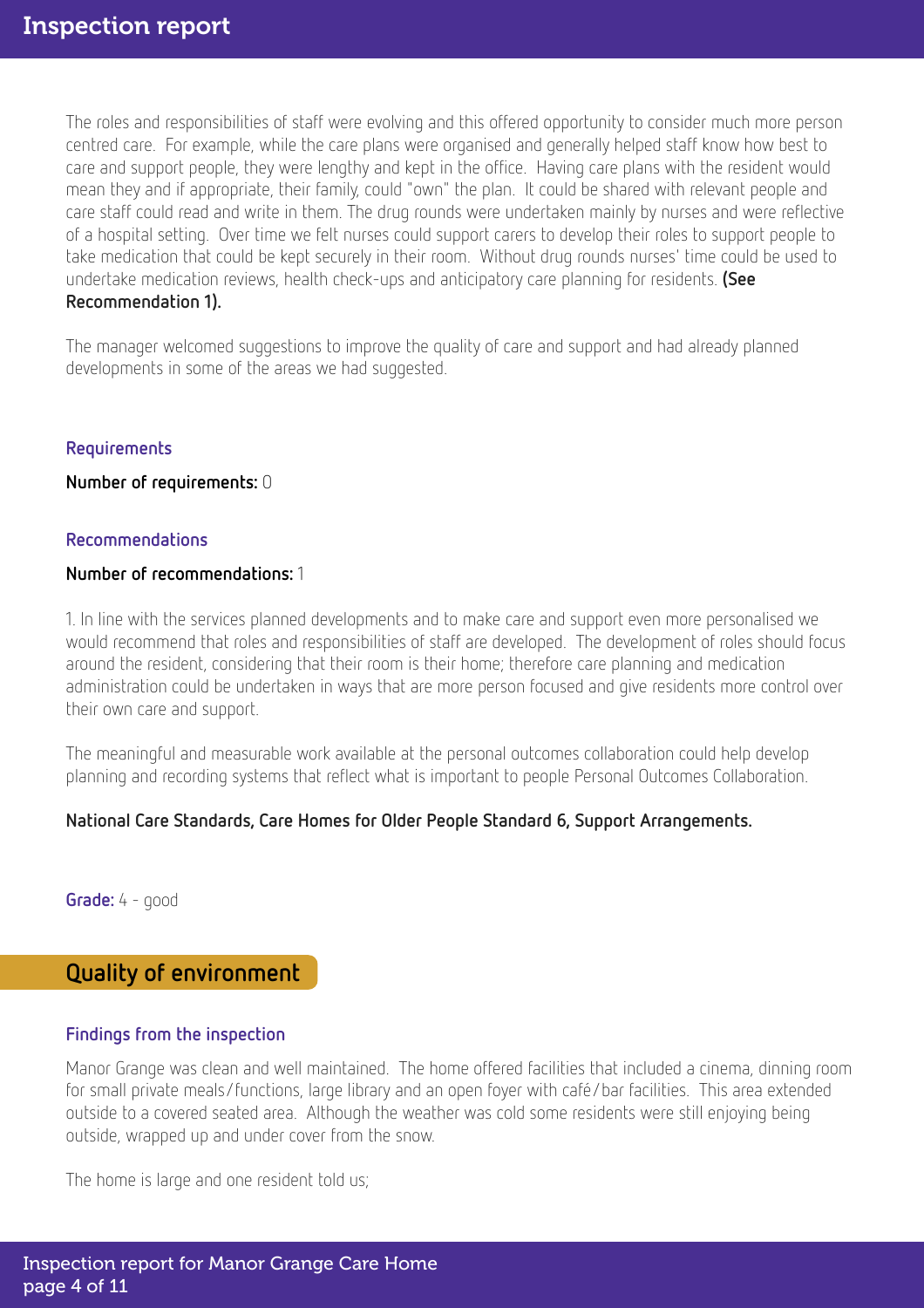The roles and responsibilities of staff were evolving and this offered opportunity to consider much more person centred care. For example, while the care plans were organised and generally helped staff know how best to care and support people, they were lengthy and kept in the office. Having care plans with the resident would mean they and if appropriate, their family, could "own" the plan. It could be shared with relevant people and care staff could read and write in them. The drug rounds were undertaken mainly by nurses and were reflective of a hospital setting. Over time we felt nurses could support carers to develop their roles to support people to take medication that could be kept securely in their room. Without drug rounds nurses' time could be used to undertake medication reviews, health check-ups and anticipatory care planning for residents. (See Recommendation 1).

The manager welcomed suggestions to improve the quality of care and support and had already planned developments in some of the areas we had suggested.

### **Requirements**

#### Number of requirements: 0

#### Recommendations

### Number of recommendations: 1

1. In line with the services planned developments and to make care and support even more personalised we would recommend that roles and responsibilities of staff are developed. The development of roles should focus around the resident, considering that their room is their home; therefore care planning and medication administration could be undertaken in ways that are more person focused and give residents more control over their own care and support.

The meaningful and measurable work available at the personal outcomes collaboration could help develop planning and recording systems that reflect what is important to people Personal Outcomes Collaboration.

### National Care Standards, Care Homes for Older People Standard 6, Support Arrangements.

Grade: 4 - good

### Quality of environment

### Findings from the inspection

Manor Grange was clean and well maintained. The home offered facilities that included a cinema, dinning room for small private meals/functions, large library and an open foyer with café/bar facilities. This area extended outside to a covered seated area. Although the weather was cold some residents were still enjoying being outside, wrapped up and under cover from the snow.

The home is large and one resident told us;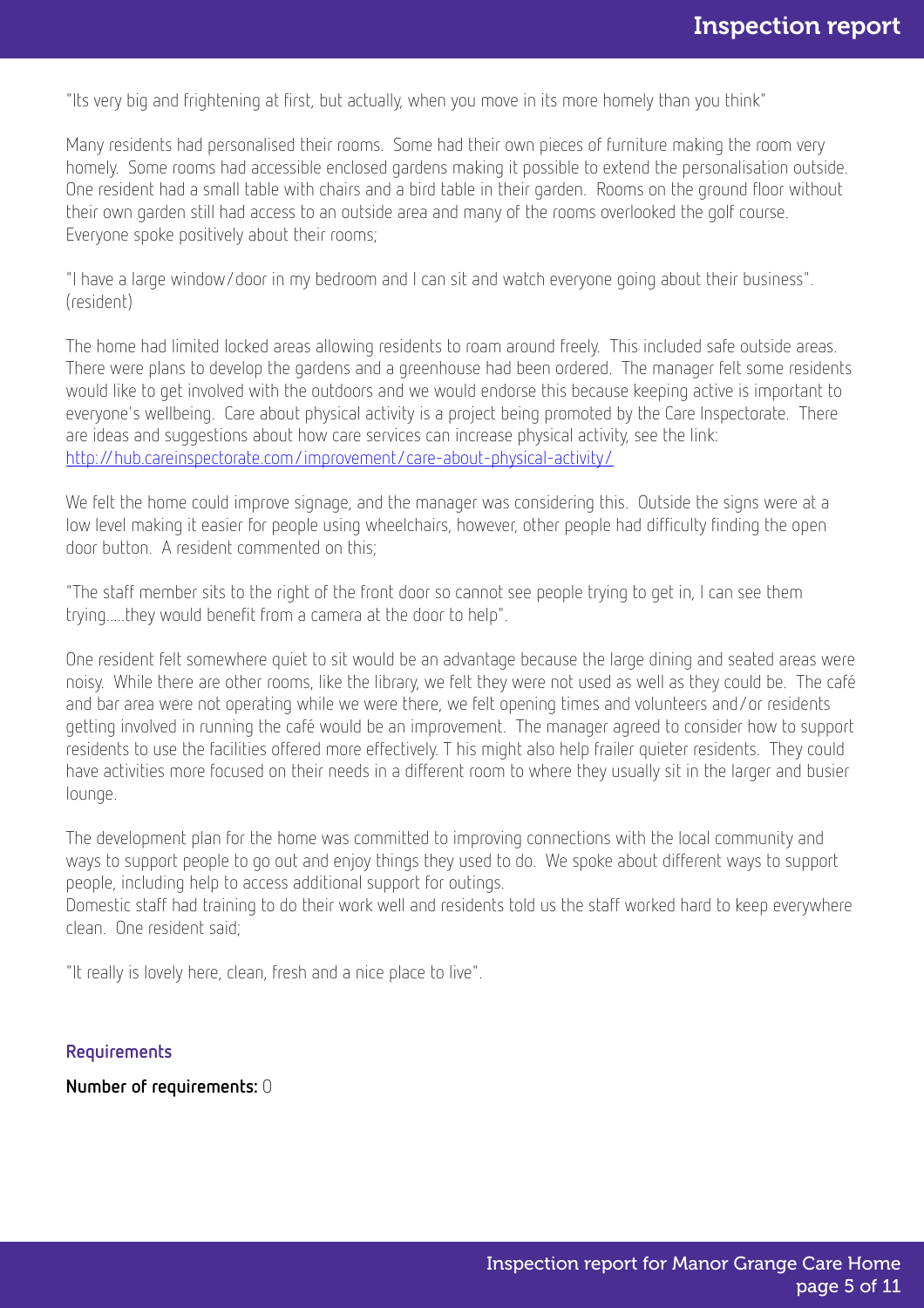"Its very big and frightening at first, but actually, when you move in its more homely than you think"

Many residents had personalised their rooms. Some had their own pieces of furniture making the room very homely. Some rooms had accessible enclosed gardens making it possible to extend the personalisation outside. One resident had a small table with chairs and a bird table in their garden. Rooms on the ground floor without their own garden still had access to an outside area and many of the rooms overlooked the golf course. Everyone spoke positively about their rooms;

"I have a large window/door in my bedroom and I can sit and watch everyone going about their business". (resident)

The home had limited locked areas allowing residents to roam around freely. This included safe outside areas. There were plans to develop the gardens and a greenhouse had been ordered. The manager felt some residents would like to get involved with the outdoors and we would endorse this because keeping active is important to everyone's wellbeing. Care about physical activity is a project being promoted by the Care Inspectorate. There are ideas and suggestions about how care services can increase physical activity, see the link: <http://hub.careinspectorate.com/improvement/care-about-physical-activity/>

We felt the home could improve signage, and the manager was considering this. Outside the signs were at a low level making it easier for people using wheelchairs, however, other people had difficulty finding the open door button. A resident commented on this;

"The staff member sits to the right of the front door so cannot see people trying to get in, I can see them trying.....they would benefit from a camera at the door to help".

One resident felt somewhere quiet to sit would be an advantage because the large dining and seated areas were noisy. While there are other rooms, like the library, we felt they were not used as well as they could be. The café and bar area were not operating while we were there, we felt opening times and volunteers and/or residents getting involved in running the café would be an improvement. The manager agreed to consider how to support residents to use the facilities offered more effectively. T his might also help frailer quieter residents. They could have activities more focused on their needs in a different room to where they usually sit in the larger and busier lounge.

The development plan for the home was committed to improving connections with the local community and ways to support people to go out and enjoy things they used to do. We spoke about different ways to support people, including help to access additional support for outings.

Domestic staff had training to do their work well and residents told us the staff worked hard to keep everywhere clean. One resident said;

"It really is lovely here, clean, fresh and a nice place to live".

#### Requirements

Number of requirements: 0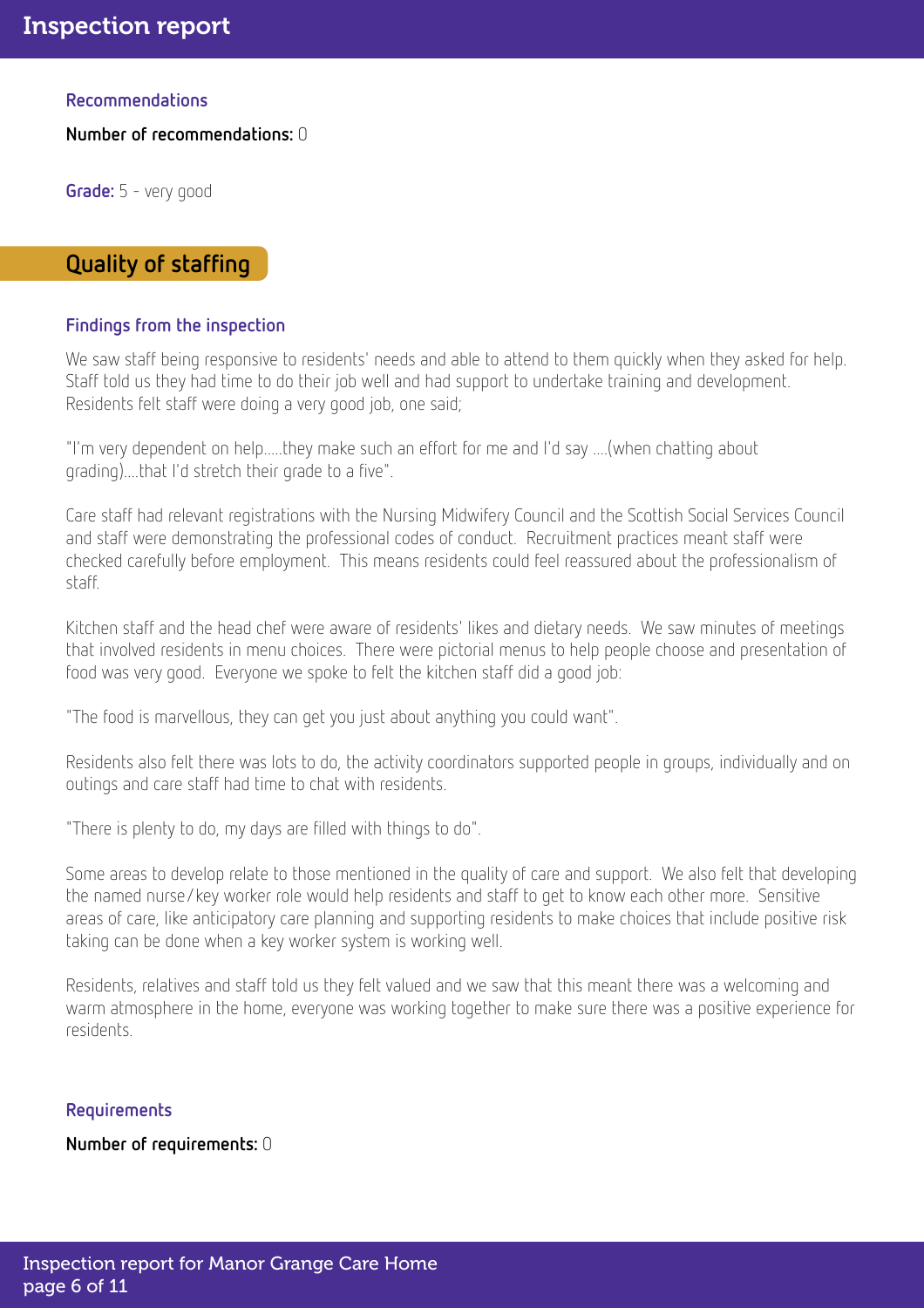Recommendations

Number of recommendations: 0

Grade: 5 - very good

### Quality of staffing

### Findings from the inspection

We saw staff being responsive to residents' needs and able to attend to them quickly when they asked for help. Staff told us they had time to do their job well and had support to undertake training and development. Residents felt staff were doing a very good job, one said;

"I'm very dependent on help.....they make such an effort for me and I'd say ....(when chatting about grading)....that I'd stretch their grade to a five".

Care staff had relevant registrations with the Nursing Midwifery Council and the Scottish Social Services Council and staff were demonstrating the professional codes of conduct. Recruitment practices meant staff were checked carefully before employment. This means residents could feel reassured about the professionalism of staff.

Kitchen staff and the head chef were aware of residents' likes and dietary needs. We saw minutes of meetings that involved residents in menu choices. There were pictorial menus to help people choose and presentation of food was very good. Everyone we spoke to felt the kitchen staff did a good job:

"The food is marvellous, they can get you just about anything you could want".

Residents also felt there was lots to do, the activity coordinators supported people in groups, individually and on outings and care staff had time to chat with residents.

"There is plenty to do, my days are filled with things to do".

Some areas to develop relate to those mentioned in the quality of care and support. We also felt that developing the named nurse/key worker role would help residents and staff to get to know each other more. Sensitive areas of care, like anticipatory care planning and supporting residents to make choices that include positive risk taking can be done when a key worker system is working well.

Residents, relatives and staff told us they felt valued and we saw that this meant there was a welcoming and warm atmosphere in the home, everyone was working together to make sure there was a positive experience for residents.

### Requirements

Number of requirements: 0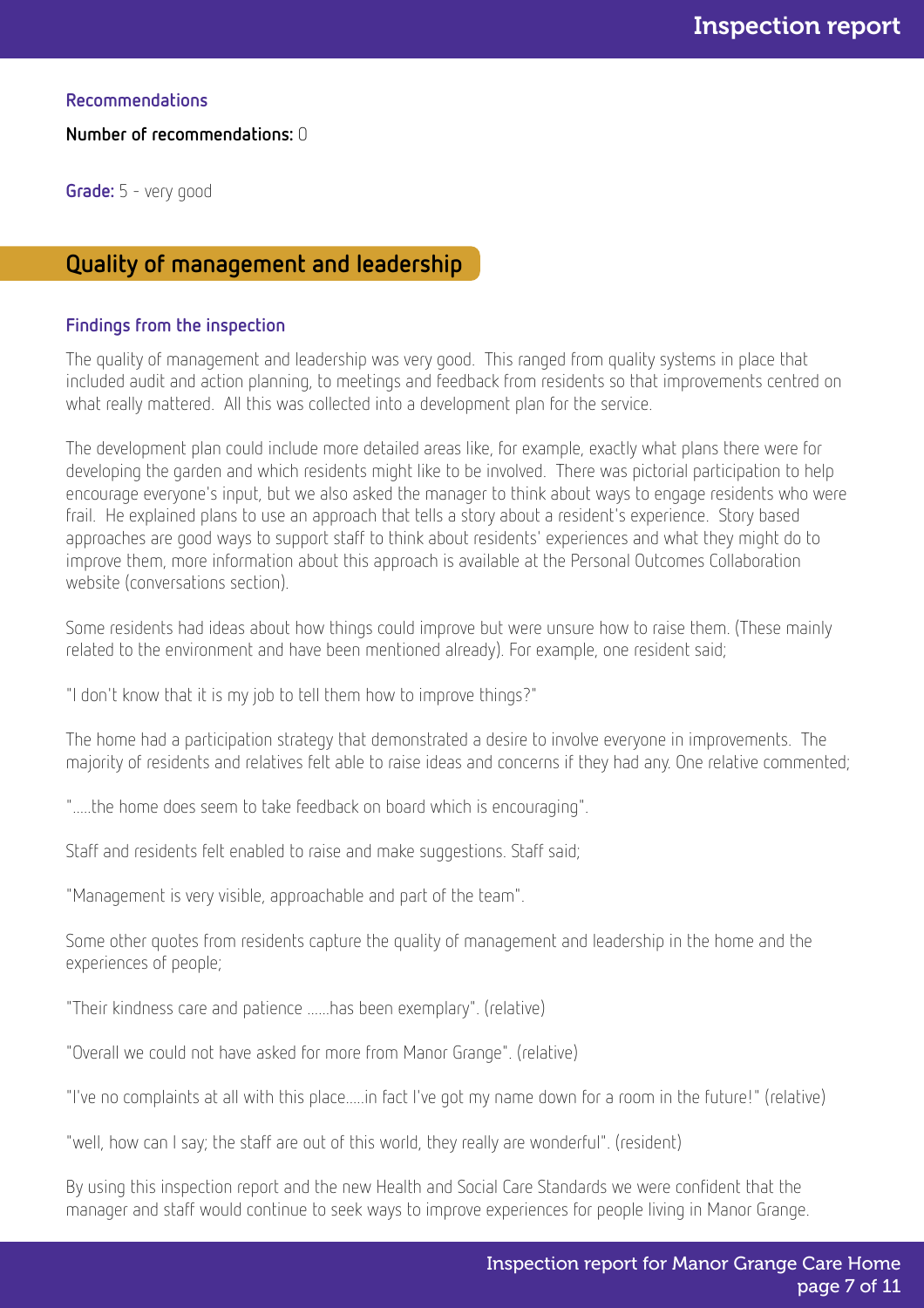Recommendations

Number of recommendations: 0

Grade: 5 - very good

### Quality of management and leadership

### Findings from the inspection

The quality of management and leadership was very good. This ranged from quality systems in place that included audit and action planning, to meetings and feedback from residents so that improvements centred on what really mattered. All this was collected into a development plan for the service.

The development plan could include more detailed areas like, for example, exactly what plans there were for developing the garden and which residents might like to be involved. There was pictorial participation to help encourage everyone's input, but we also asked the manager to think about ways to engage residents who were frail. He explained plans to use an approach that tells a story about a resident's experience. Story based approaches are good ways to support staff to think about residents' experiences and what they might do to improve them, more information about this approach is available at the Personal Outcomes Collaboration website (conversations section).

Some residents had ideas about how things could improve but were unsure how to raise them. (These mainly related to the environment and have been mentioned already). For example, one resident said;

"I don't know that it is my job to tell them how to improve things?"

The home had a participation strategy that demonstrated a desire to involve everyone in improvements. The majority of residents and relatives felt able to raise ideas and concerns if they had any. One relative commented;

".....the home does seem to take feedback on board which is encouraging".

Staff and residents felt enabled to raise and make suggestions. Staff said;

"Management is very visible, approachable and part of the team".

Some other quotes from residents capture the quality of management and leadership in the home and the experiences of people;

"Their kindness care and patience ......has been exemplary". (relative)

"Overall we could not have asked for more from Manor Grange". (relative)

"I've no complaints at all with this place.....in fact I've got my name down for a room in the future!" (relative)

"well, how can I say; the staff are out of this world, they really are wonderful". (resident)

By using this inspection report and the new Health and Social Care Standards we were confident that the manager and staff would continue to seek ways to improve experiences for people living in Manor Grange.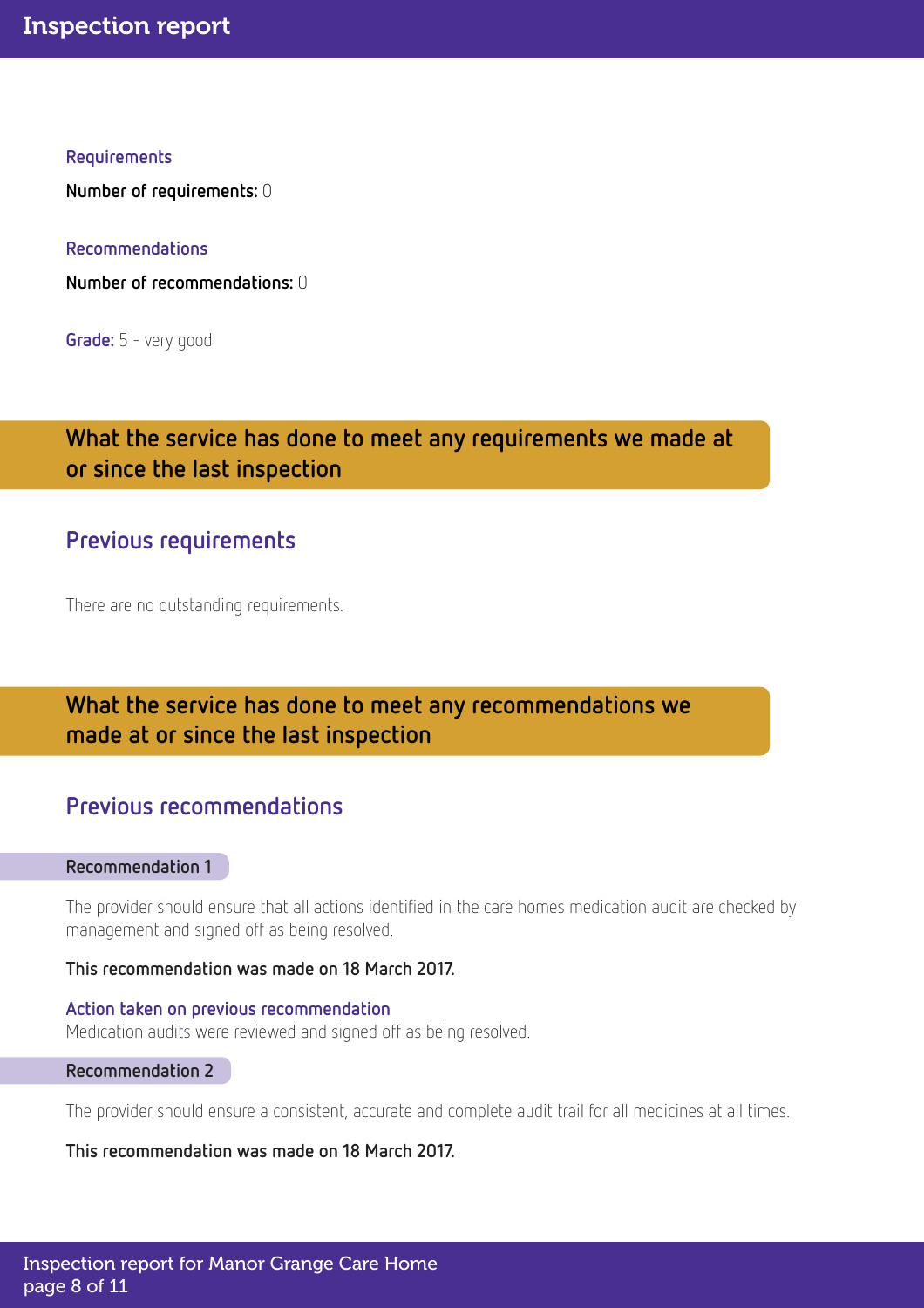#### Requirements

Number of requirements: 0

Recommendations

Number of recommendations: 0

Grade: 5 - very good

### What the service has done to meet any requirements we made at or since the last inspection

### Previous requirements

There are no outstanding requirements.

### What the service has done to meet any recommendations we made at or since the last inspection

### Previous recommendations

#### Recommendation 1

The provider should ensure that all actions identified in the care homes medication audit are checked by management and signed off as being resolved.

This recommendation was made on 18 March 2017.

Action taken on previous recommendation Medication audits were reviewed and signed off as being resolved.

#### Recommendation 2

The provider should ensure a consistent, accurate and complete audit trail for all medicines at all times.

This recommendation was made on 18 March 2017.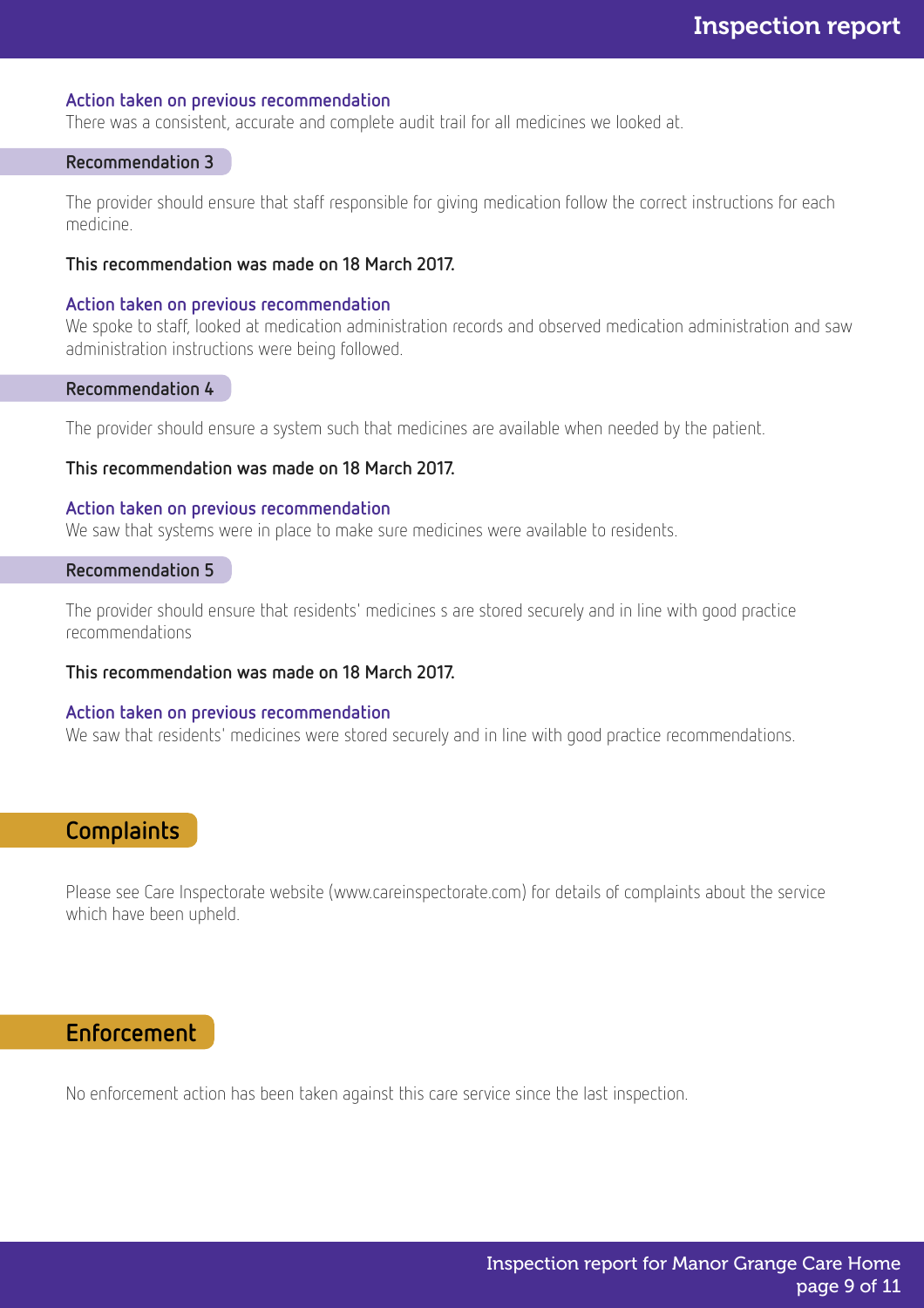#### Action taken on previous recommendation

There was a consistent, accurate and complete audit trail for all medicines we looked at.

#### Recommendation 3

The provider should ensure that staff responsible for giving medication follow the correct instructions for each medicine.

#### This recommendation was made on 18 March 2017.

#### Action taken on previous recommendation

We spoke to staff, looked at medication administration records and observed medication administration and saw administration instructions were being followed.

#### Recommendation 4

The provider should ensure a system such that medicines are available when needed by the patient.

#### This recommendation was made on 18 March 2017.

#### Action taken on previous recommendation

We saw that systems were in place to make sure medicines were available to residents.

#### Recommendation 5

The provider should ensure that residents' medicines s are stored securely and in line with good practice recommendations

#### This recommendation was made on 18 March 2017.

#### Action taken on previous recommendation

We saw that residents' medicines were stored securely and in line with good practice recommendations.

### **Complaints**

Please see Care Inspectorate website (www.careinspectorate.com) for details of complaints about the service which have been upheld.

### Enforcement

No enforcement action has been taken against this care service since the last inspection.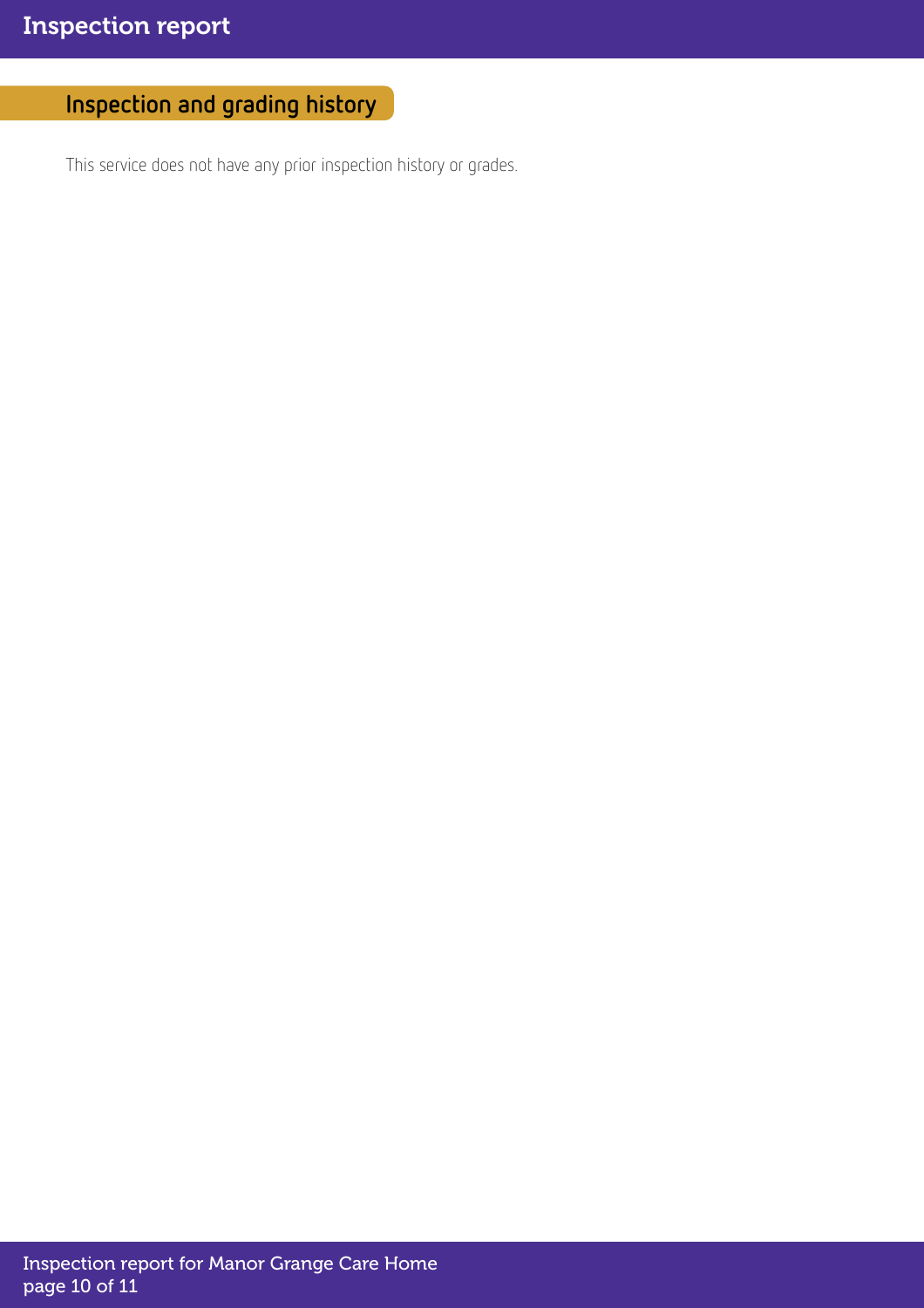## Inspection and grading history

This service does not have any prior inspection history or grades.